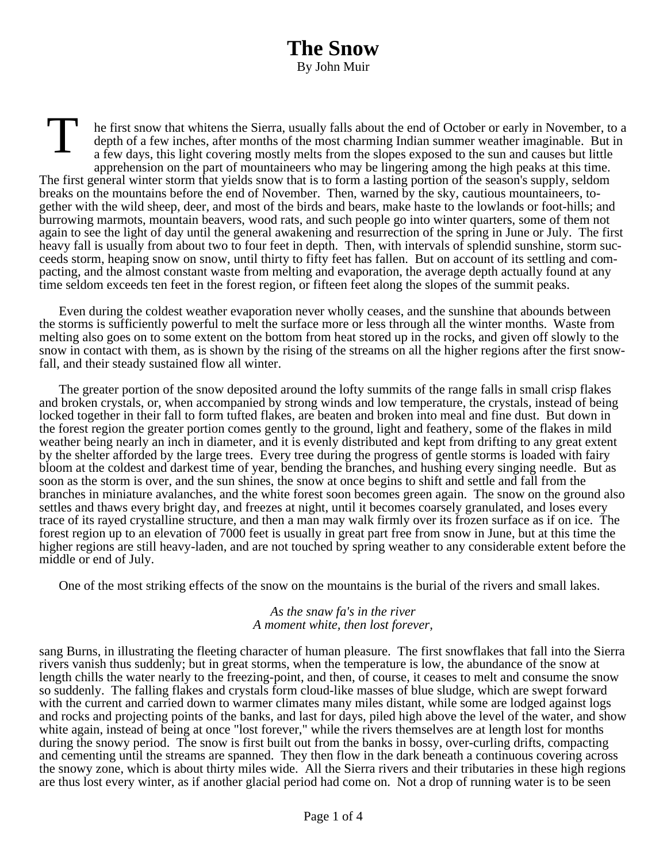T he first snow that whitens the Sierra, usually falls about the end of October or early in November, to a depth of a few inches, after months of the most charming Indian summer weather imaginable. But in a few days, this light covering mostly melts from the slopes exposed to the sun and causes but little apprehension on the part of mountaineers who may be lingering among the high peaks at this time. The first general winter storm that yields snow that is to form a lasting portion of the season's supply, seldom breaks on the mountains before the end of November. Then, warned by the sky, cautious mountaineers, together with the wild sheep, deer, and most of the birds and bears, make haste to the lowlands or foot-hills; and burrowing marmots, mountain beavers, wood rats, and such people go into winter quarters, some of them not again to see the light of day until the general awakening and resurrection of the spring in June or July. The first heavy fall is usually from about two to four feet in depth. Then, with intervals of splendid sunshine, storm succeeds storm, heaping snow on snow, until thirty to fifty feet has fallen. But on account of its settling and compacting, and the almost constant waste from melting and evaporation, the average depth actually found at any time seldom exceeds ten feet in the forest region, or fifteen feet along the slopes of the summit peaks.

Even during the coldest weather evaporation never wholly ceases, and the sunshine that abounds between the storms is sufficiently powerful to melt the surface more or less through all the winter months. Waste from melting also goes on to some extent on the bottom from heat stored up in the rocks, and given off slowly to the snow in contact with them, as is shown by the rising of the streams on all the higher regions after the first snowfall, and their steady sustained flow all winter.

The greater portion of the snow deposited around the lofty summits of the range falls in small crisp flakes and broken crystals, or, when accompanied by strong winds and low temperature, the crystals, instead of being locked together in their fall to form tufted flakes, are beaten and broken into meal and fine dust. But down in the forest region the greater portion comes gently to the ground, light and feathery, some of the flakes in mild weather being nearly an inch in diameter, and it is evenly distributed and kept from drifting to any great extent by the shelter afforded by the large trees. Every tree during the progress of gentle storms is loaded with fairy bloom at the coldest and darkest time of year, bending the branches, and hushing every singing needle. But as soon as the storm is over, and the sun shines, the snow at once begins to shift and settle and fall from the branches in miniature avalanches, and the white forest soon becomes green again. The snow on the ground also settles and thaws every bright day, and freezes at night, until it becomes coarsely granulated, and loses every trace of its rayed crystalline structure, and then a man may walk firmly over its frozen surface as if on ice. The forest region up to an elevation of 7000 feet is usually in great part free from snow in June, but at this time the higher regions are still heavy-laden, and are not touched by spring weather to any considerable extent before the middle or end of July.

One of the most striking effects of the snow on the mountains is the burial of the rivers and small lakes.

## *As the snaw fa's in the river A moment white, then lost forever,*

sang Burns, in illustrating the fleeting character of human pleasure. The first snowflakes that fall into the Sierra rivers vanish thus suddenly; but in great storms, when the temperature is low, the abundance of the snow at length chills the water nearly to the freezing-point, and then, of course, it ceases to melt and consume the snow so suddenly. The falling flakes and crystals form cloud-like masses of blue sludge, which are swept forward with the current and carried down to warmer climates many miles distant, while some are lodged against logs and rocks and projecting points of the banks, and last for days, piled high above the level of the water, and show white again, instead of being at once "lost forever," while the rivers themselves are at length lost for months during the snowy period. The snow is first built out from the banks in bossy, over-curling drifts, compacting and cementing until the streams are spanned. They then flow in the dark beneath a continuous covering across the snowy zone, which is about thirty miles wide. All the Sierra rivers and their tributaries in these high regions are thus lost every winter, as if another glacial period had come on. Not a drop of running water is to be seen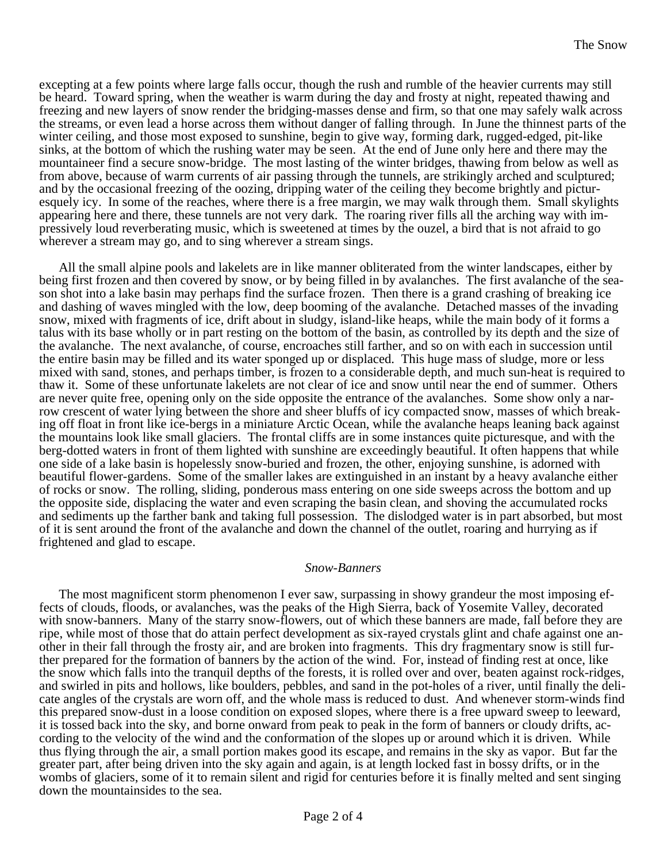excepting at a few points where large falls occur, though the rush and rumble of the heavier currents may still be heard. Toward spring, when the weather is warm during the day and frosty at night, repeated thawing and freezing and new layers of snow render the bridging-masses dense and firm, so that one may safely walk across the streams, or even lead a horse across them without danger of falling through. In June the thinnest parts of the winter ceiling, and those most exposed to sunshine, begin to give way, forming dark, rugged-edged, pit-like sinks, at the bottom of which the rushing water may be seen. At the end of June only here and there may the mountaineer find a secure snow-bridge. The most lasting of the winter bridges, thawing from below as well as from above, because of warm currents of air passing through the tunnels, are strikingly arched and sculptured; and by the occasional freezing of the oozing, dripping water of the ceiling they become brightly and picturesquely icy. In some of the reaches, where there is a free margin, we may walk through them. Small skylights appearing here and there, these tunnels are not very dark. The roaring river fills all the arching way with impressively loud reverberating music, which is sweetened at times by the ouzel, a bird that is not afraid to go wherever a stream may go, and to sing wherever a stream sings.

All the small alpine pools and lakelets are in like manner obliterated from the winter landscapes, either by being first frozen and then covered by snow, or by being filled in by avalanches. The first avalanche of the season shot into a lake basin may perhaps find the surface frozen. Then there is a grand crashing of breaking ice and dashing of waves mingled with the low, deep booming of the avalanche. Detached masses of the invading snow, mixed with fragments of ice, drift about in sludgy, island-like heaps, while the main body of it forms a talus with its base wholly or in part resting on the bottom of the basin, as controlled by its depth and the size of the avalanche. The next avalanche, of course, encroaches still farther, and so on with each in succession until the entire basin may be filled and its water sponged up or displaced. This huge mass of sludge, more or less mixed with sand, stones, and perhaps timber, is frozen to a considerable depth, and much sun-heat is required to thaw it. Some of these unfortunate lakelets are not clear of ice and snow until near the end of summer. Others are never quite free, opening only on the side opposite the entrance of the avalanches. Some show only a narrow crescent of water lying between the shore and sheer bluffs of icy compacted snow, masses of which breaking off float in front like ice-bergs in a miniature Arctic Ocean, while the avalanche heaps leaning back against the mountains look like small glaciers. The frontal cliffs are in some instances quite picturesque, and with the berg-dotted waters in front of them lighted with sunshine are exceedingly beautiful. It often happens that while one side of a lake basin is hopelessly snow-buried and frozen, the other, enjoying sunshine, is adorned with beautiful flower-gardens. Some of the smaller lakes are extinguished in an instant by a heavy avalanche either of rocks or snow. The rolling, sliding, ponderous mass entering on one side sweeps across the bottom and up the opposite side, displacing the water and even scraping the basin clean, and shoving the accumulated rocks and sediments up the farther bank and taking full possession. The dislodged water is in part absorbed, but most of it is sent around the front of the avalanche and down the channel of the outlet, roaring and hurrying as if frightened and glad to escape.

## *Snow-Banners*

The most magnificent storm phenomenon I ever saw, surpassing in showy grandeur the most imposing effects of clouds, floods, or avalanches, was the peaks of the High Sierra, back of Yosemite Valley, decorated with snow-banners. Many of the starry snow-flowers, out of which these banners are made, fall before they are ripe, while most of those that do attain perfect development as six-rayed crystals glint and chafe against one another in their fall through the frosty air, and are broken into fragments. This dry fragmentary snow is still further prepared for the formation of banners by the action of the wind. For, instead of finding rest at once, like the snow which falls into the tranquil depths of the forests, it is rolled over and over, beaten against rock-ridges, and swirled in pits and hollows, like boulders, pebbles, and sand in the pot-holes of a river, until finally the delicate angles of the crystals are worn off, and the whole mass is reduced to dust. And whenever storm-winds find this prepared snow-dust in a loose condition on exposed slopes, where there is a free upward sweep to leeward, it is tossed back into the sky, and borne onward from peak to peak in the form of banners or cloudy drifts, according to the velocity of the wind and the conformation of the slopes up or around which it is driven. While thus flying through the air, a small portion makes good its escape, and remains in the sky as vapor. But far the greater part, after being driven into the sky again and again, is at length locked fast in bossy drifts, or in the wombs of glaciers, some of it to remain silent and rigid for centuries before it is finally melted and sent singing down the mountainsides to the sea.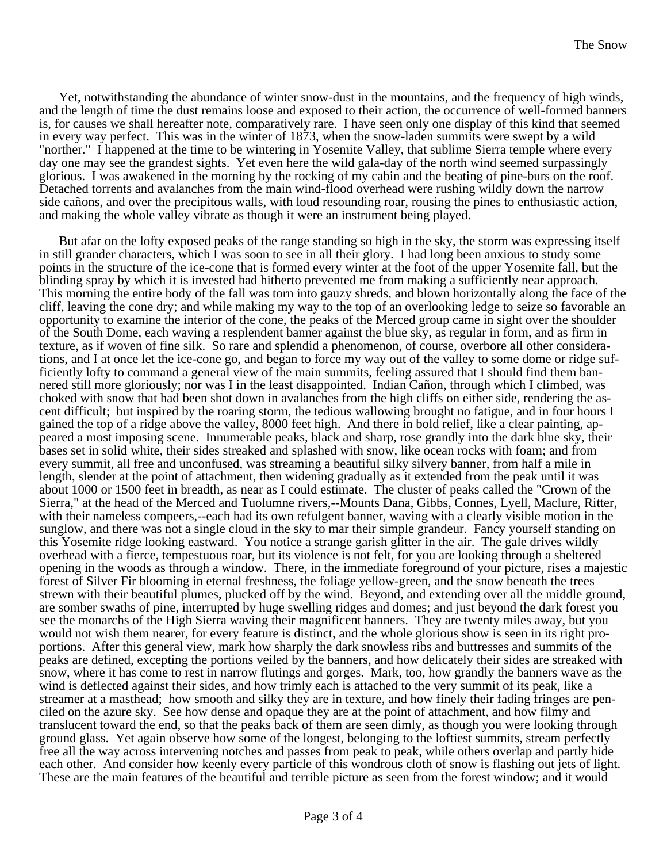Yet, notwithstanding the abundance of winter snow-dust in the mountains, and the frequency of high winds, and the length of time the dust remains loose and exposed to their action, the occurrence of well-formed banners is, for causes we shall hereafter note, comparatively rare. I have seen only one display of this kind that seemed in every way perfect. This was in the winter of 1873, when the snow-laden summits were swept by a wild "norther." I happened at the time to be wintering in Yosemite Valley, that sublime Sierra temple where every day one may see the grandest sights. Yet even here the wild gala-day of the north wind seemed surpassingly glorious. I was awakened in the morning by the rocking of my cabin and the beating of pine-burs on the roof. Detached torrents and avalanches from the main wind-flood overhead were rushing wildly down the narrow side cañons, and over the precipitous walls, with loud resounding roar, rousing the pines to enthusiastic action, and making the whole valley vibrate as though it were an instrument being played.

But afar on the lofty exposed peaks of the range standing so high in the sky, the storm was expressing itself in still grander characters, which I was soon to see in all their glory. I had long been anxious to study some points in the structure of the ice-cone that is formed every winter at the foot of the upper Yosemite fall, but the blinding spray by which it is invested had hitherto prevented me from making a sufficiently near approach. This morning the entire body of the fall was torn into gauzy shreds, and blown horizontally along the face of the cliff, leaving the cone dry; and while making my way to the top of an overlooking ledge to seize so favorable an opportunity to examine the interior of the cone, the peaks of the Merced group came in sight over the shoulder of the South Dome, each waving a resplendent banner against the blue sky, as regular in form, and as firm in texture, as if woven of fine silk. So rare and splendid a phenomenon, of course, overbore all other considerations, and I at once let the ice-cone go, and began to force my way out of the valley to some dome or ridge sufficiently lofty to command a general view of the main summits, feeling assured that I should find them bannered still more gloriously; nor was I in the least disappointed. Indian Cañon, through which I climbed, was choked with snow that had been shot down in avalanches from the high cliffs on either side, rendering the ascent difficult; but inspired by the roaring storm, the tedious wallowing brought no fatigue, and in four hours I gained the top of a ridge above the valley, 8000 feet high. And there in bold relief, like a clear painting, appeared a most imposing scene. Innumerable peaks, black and sharp, rose grandly into the dark blue sky, their bases set in solid white, their sides streaked and splashed with snow, like ocean rocks with foam; and from every summit, all free and unconfused, was streaming a beautiful silky silvery banner, from half a mile in length, slender at the point of attachment, then widening gradually as it extended from the peak until it was about 1000 or 1500 feet in breadth, as near as I could estimate. The cluster of peaks called the "Crown of the Sierra," at the head of the Merced and Tuolumne rivers,--Mounts Dana, Gibbs, Connes, Lyell, Maclure, Ritter, with their nameless compeers,--each had its own refulgent banner, waving with a clearly visible motion in the sunglow, and there was not a single cloud in the sky to mar their simple grandeur. Fancy yourself standing on this Yosemite ridge looking eastward. You notice a strange garish glitter in the air. The gale drives wildly overhead with a fierce, tempestuous roar, but its violence is not felt, for you are looking through a sheltered opening in the woods as through a window. There, in the immediate foreground of your picture, rises a majestic forest of Silver Fir blooming in eternal freshness, the foliage yellow-green, and the snow beneath the trees strewn with their beautiful plumes, plucked off by the wind. Beyond, and extending over all the middle ground, are somber swaths of pine, interrupted by huge swelling ridges and domes; and just beyond the dark forest you see the monarchs of the High Sierra waving their magnificent banners. They are twenty miles away, but you would not wish them nearer, for every feature is distinct, and the whole glorious show is seen in its right proportions. After this general view, mark how sharply the dark snowless ribs and buttresses and summits of the peaks are defined, excepting the portions veiled by the banners, and how delicately their sides are streaked with snow, where it has come to rest in narrow flutings and gorges. Mark, too, how grandly the banners wave as the wind is deflected against their sides, and how trimly each is attached to the very summit of its peak, like a streamer at a masthead; how smooth and silky they are in texture, and how finely their fading fringes are penciled on the azure sky. See how dense and opaque they are at the point of attachment, and how filmy and translucent toward the end, so that the peaks back of them are seen dimly, as though you were looking through ground glass. Yet again observe how some of the longest, belonging to the loftiest summits, stream perfectly free all the way across intervening notches and passes from peak to peak, while others overlap and partly hide each other. And consider how keenly every particle of this wondrous cloth of snow is flashing out jets of light. These are the main features of the beautiful and terrible picture as seen from the forest window; and it would